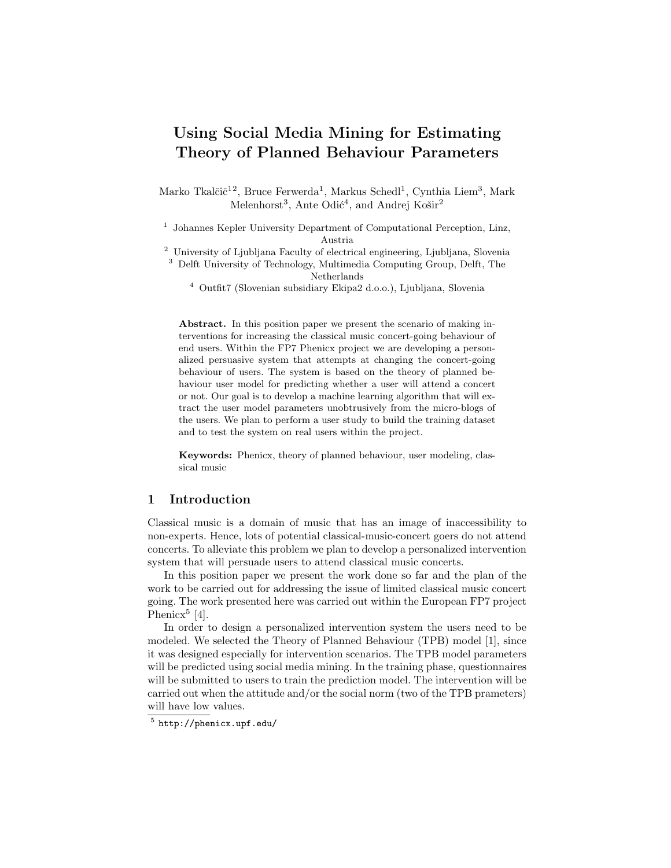# Using Social Media Mining for Estimating Theory of Planned Behaviour Parameters

Marko Tkalčič<sup>12</sup>, Bruce Ferwerda<sup>1</sup>, Markus Schedl<sup>1</sup>, Cynthia Liem<sup>3</sup>, Mark Melenhorst<sup>3</sup>, Ante Odić<sup>4</sup>, and Andrej Košir<sup>2</sup>

<sup>1</sup> Johannes Kepler University Department of Computational Perception, Linz, Austria

<sup>2</sup> University of Ljubljana Faculty of electrical engineering, Ljubljana, Slovenia

<sup>3</sup> Delft University of Technology, Multimedia Computing Group, Delft, The Netherlands

 $^4\,$  Outfit7 (Slovenian subsidiary Ekipa<br/>2 d.o.o.), Ljubljana, Slovenia

Abstract. In this position paper we present the scenario of making interventions for increasing the classical music concert-going behaviour of end users. Within the FP7 Phenicx project we are developing a personalized persuasive system that attempts at changing the concert-going behaviour of users. The system is based on the theory of planned behaviour user model for predicting whether a user will attend a concert or not. Our goal is to develop a machine learning algorithm that will extract the user model parameters unobtrusively from the micro-blogs of the users. We plan to perform a user study to build the training dataset and to test the system on real users within the project.

Keywords: Phenicx, theory of planned behaviour, user modeling, classical music

### 1 Introduction

Classical music is a domain of music that has an image of inaccessibility to non-experts. Hence, lots of potential classical-music-concert goers do not attend concerts. To alleviate this problem we plan to develop a personalized intervention system that will persuade users to attend classical music concerts.

In this position paper we present the work done so far and the plan of the work to be carried out for addressing the issue of limited classical music concert going. The work presented here was carried out within the European FP7 project Phenicx<sup>5</sup> [4].

In order to design a personalized intervention system the users need to be modeled. We selected the Theory of Planned Behaviour (TPB) model [1], since it was designed especially for intervention scenarios. The TPB model parameters will be predicted using social media mining. In the training phase, questionnaires will be submitted to users to train the prediction model. The intervention will be carried out when the attitude and/or the social norm (two of the TPB prameters) will have low values.

<sup>5</sup> http://phenicx.upf.edu/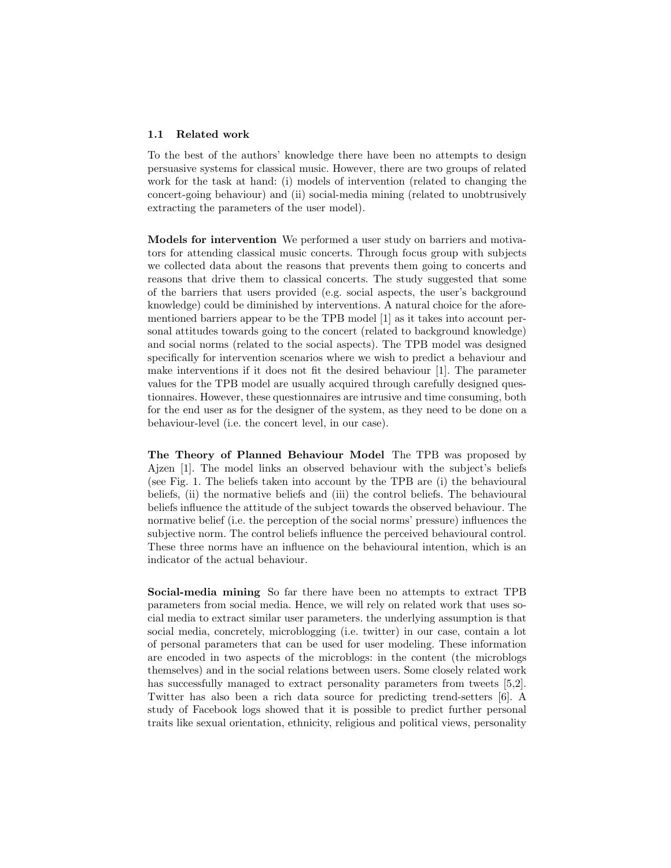#### 1.1 Related work

To the best of the authors' knowledge there have been no attempts to design persuasive systems for classical music. However, there are two groups of related work for the task at hand: (i) models of intervention (related to changing the concert-going behaviour) and (ii) social-media mining (related to unobtrusively extracting the parameters of the user model).

Models for intervention We performed a user study on barriers and motivators for attending classical music concerts. Through focus group with subjects we collected data about the reasons that prevents them going to concerts and reasons that drive them to classical concerts. The study suggested that some of the barriers that users provided (e.g. social aspects, the user's background knowledge) could be diminished by interventions. A natural choice for the aforementioned barriers appear to be the TPB model [1] as it takes into account personal attitudes towards going to the concert (related to background knowledge) and social norms (related to the social aspects). The TPB model was designed specifically for intervention scenarios where we wish to predict a behaviour and make interventions if it does not fit the desired behaviour [1]. The parameter values for the TPB model are usually acquired through carefully designed questionnaires. However, these questionnaires are intrusive and time consuming, both for the end user as for the designer of the system, as they need to be done on a behaviour-level (i.e. the concert level, in our case).

The Theory of Planned Behaviour Model The TPB was proposed by Ajzen [1]. The model links an observed behaviour with the subject's beliefs (see Fig. 1. The beliefs taken into account by the TPB are (i) the behavioural beliefs, (ii) the normative beliefs and (iii) the control beliefs. The behavioural beliefs influence the attitude of the subject towards the observed behaviour. The normative belief (i.e. the perception of the social norms' pressure) influences the subjective norm. The control beliefs influence the perceived behavioural control. These three norms have an influence on the behavioural intention, which is an indicator of the actual behaviour.

Social-media mining So far there have been no attempts to extract TPB parameters from social media. Hence, we will rely on related work that uses social media to extract similar user parameters. the underlying assumption is that social media, concretely, microblogging (i.e. twitter) in our case, contain a lot of personal parameters that can be used for user modeling. These information are encoded in two aspects of the microblogs: in the content (the microblogs themselves) and in the social relations between users. Some closely related work has successfully managed to extract personality parameters from tweets [5,2]. Twitter has also been a rich data source for predicting trend-setters [6]. A study of Facebook logs showed that it is possible to predict further personal traits like sexual orientation, ethnicity, religious and political views, personality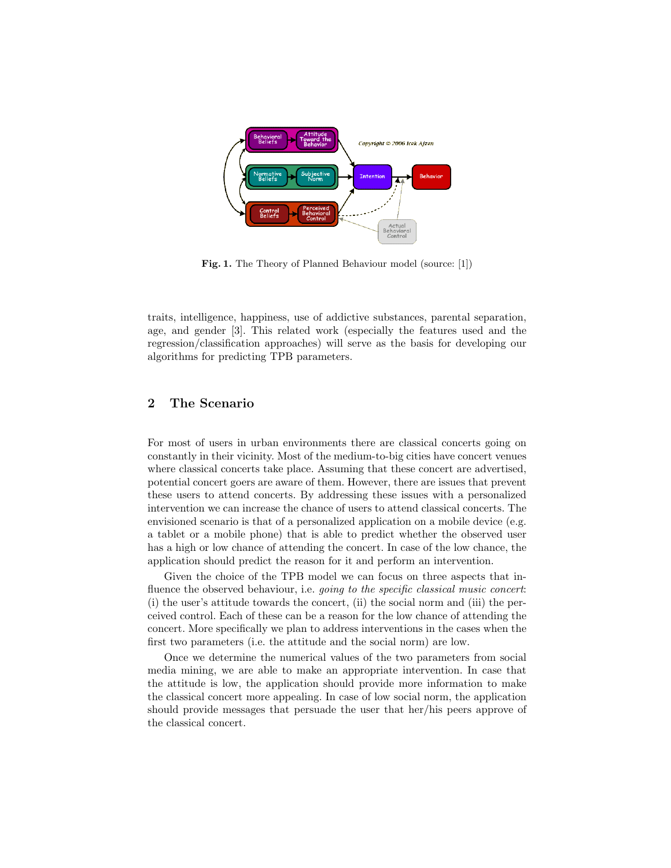

Fig. 1. The Theory of Planned Behaviour model (source: [1])

traits, intelligence, happiness, use of addictive substances, parental separation, age, and gender [3]. This related work (especially the features used and the regression/classification approaches) will serve as the basis for developing our algorithms for predicting TPB parameters.

# 2 The Scenario

For most of users in urban environments there are classical concerts going on constantly in their vicinity. Most of the medium-to-big cities have concert venues where classical concerts take place. Assuming that these concert are advertised, potential concert goers are aware of them. However, there are issues that prevent these users to attend concerts. By addressing these issues with a personalized intervention we can increase the chance of users to attend classical concerts. The envisioned scenario is that of a personalized application on a mobile device (e.g. a tablet or a mobile phone) that is able to predict whether the observed user has a high or low chance of attending the concert. In case of the low chance, the application should predict the reason for it and perform an intervention.

Given the choice of the TPB model we can focus on three aspects that influence the observed behaviour, i.e. *going to the specific classical music concert*: (i) the user's attitude towards the concert, (ii) the social norm and (iii) the perceived control. Each of these can be a reason for the low chance of attending the concert. More specifically we plan to address interventions in the cases when the first two parameters (i.e. the attitude and the social norm) are low.

Once we determine the numerical values of the two parameters from social media mining, we are able to make an appropriate intervention. In case that the attitude is low, the application should provide more information to make the classical concert more appealing. In case of low social norm, the application should provide messages that persuade the user that her/his peers approve of the classical concert.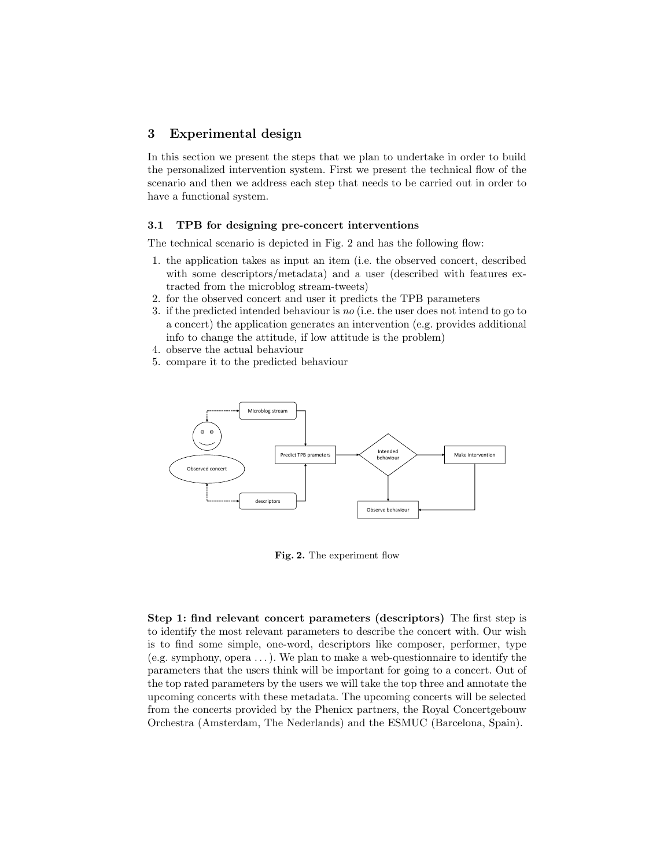## 3 Experimental design

In this section we present the steps that we plan to undertake in order to build the personalized intervention system. First we present the technical flow of the scenario and then we address each step that needs to be carried out in order to have a functional system.

#### 3.1 TPB for designing pre-concert interventions

The technical scenario is depicted in Fig. 2 and has the following flow:

- 1. the application takes as input an item (i.e. the observed concert, described with some descriptors/metadata) and a user (described with features extracted from the microblog stream-tweets)
- 2. for the observed concert and user it predicts the TPB parameters
- 3. if the predicted intended behaviour is no (i.e. the user does not intend to go to a concert) the application generates an intervention (e.g. provides additional info to change the attitude, if low attitude is the problem)
- 4. observe the actual behaviour
- 5. compare it to the predicted behaviour



Fig. 2. The experiment flow

Step 1: find relevant concert parameters (descriptors) The first step is to identify the most relevant parameters to describe the concert with. Our wish is to find some simple, one-word, descriptors like composer, performer, type (e.g. symphony, opera . . . ). We plan to make a web-questionnaire to identify the parameters that the users think will be important for going to a concert. Out of the top rated parameters by the users we will take the top three and annotate the upcoming concerts with these metadata. The upcoming concerts will be selected from the concerts provided by the Phenicx partners, the Royal Concertgebouw Orchestra (Amsterdam, The Nederlands) and the ESMUC (Barcelona, Spain).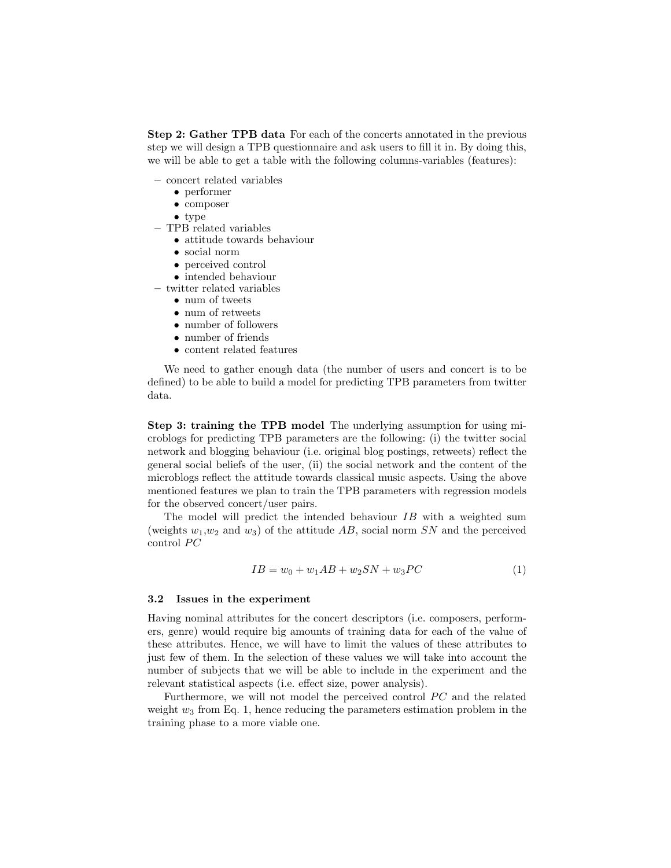Step 2: Gather TPB data For each of the concerts annotated in the previous step we will design a TPB questionnaire and ask users to fill it in. By doing this, we will be able to get a table with the following columns-variables (features):

- concert related variables
	- performer
	- composer
	- type
- TPB related variables
	- attitude towards behaviour
	- social norm
	- perceived control
	- intended behaviour

– twitter related variables

- num of tweets
- num of retweets
- number of followers
- number of friends
- content related features

We need to gather enough data (the number of users and concert is to be defined) to be able to build a model for predicting TPB parameters from twitter data.

Step 3: training the TPB model The underlying assumption for using microblogs for predicting TPB parameters are the following: (i) the twitter social network and blogging behaviour (i.e. original blog postings, retweets) reflect the general social beliefs of the user, (ii) the social network and the content of the microblogs reflect the attitude towards classical music aspects. Using the above mentioned features we plan to train the TPB parameters with regression models for the observed concert/user pairs.

The model will predict the intended behaviour IB with a weighted sum (weights  $w_1, w_2$  and  $w_3$ ) of the attitude AB, social norm SN and the perceived control  $PC$ 

$$
IB = w_0 + w_1 AB + w_2 SN + w_3 PC
$$
 (1)

#### 3.2 Issues in the experiment

Having nominal attributes for the concert descriptors (i.e. composers, performers, genre) would require big amounts of training data for each of the value of these attributes. Hence, we will have to limit the values of these attributes to just few of them. In the selection of these values we will take into account the number of subjects that we will be able to include in the experiment and the relevant statistical aspects (i.e. effect size, power analysis).

Furthermore, we will not model the perceived control  $\overline{PC}$  and the related weight  $w_3$  from Eq. 1, hence reducing the parameters estimation problem in the training phase to a more viable one.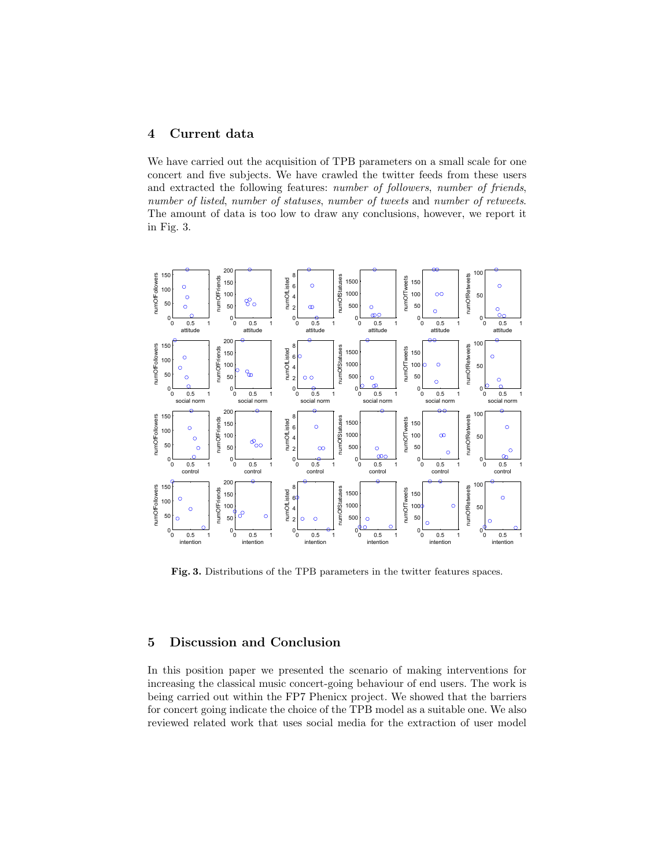# 4 Current data

We have carried out the acquisition of TPB parameters on a small scale for one concert and five subjects. We have crawled the twitter feeds from these users and extracted the following features: number of followers, number of friends, number of listed, number of statuses, number of tweets and number of retweets. The amount of data is too low to draw any conclusions, however, we report it in Fig. 3.



Fig. 3. Distributions of the TPB parameters in the twitter features spaces.

## 5 Discussion and Conclusion

In this position paper we presented the scenario of making interventions for increasing the classical music concert-going behaviour of end users. The work is being carried out within the FP7 Phenicx project. We showed that the barriers for concert going indicate the choice of the TPB model as a suitable one. We also reviewed related work that uses social media for the extraction of user model